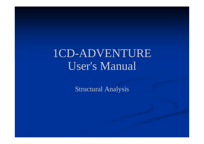## 1CD-ADVENTURE User's Manual

Structural Analysis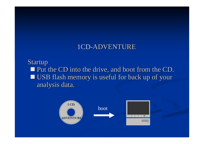### 1CD-ADVENTURE

Startup p. Put the CD into the drive, and boot from the CD. ⊔ USB flash memory is useful for back up of your analysis data.

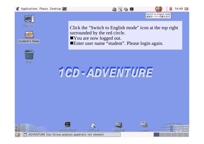







student's Home



Click the "Switch to English mode" icon at the top right surrounded by the red circle.

You are now logged out.

■Enter user name "student". Please login again.

# 1CD-ADVENTURE

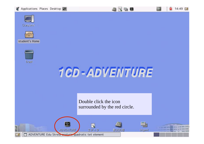Applications Places Desktop









student's Home





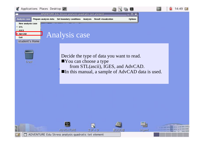



Decide the type of data you want to read. ■ You can choose a type from STL(ascii), IGES, and AdvCAD.  $\blacksquare$ In this manual, a sample of  $\text{AdvCAD}$  data is used.

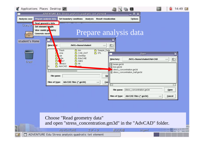| Applications Places Desktop                                                                        |                       |                                                                                                                                                                                             |  |                             |                                         | e.                                                             |                          | 14:49                                               |  |
|----------------------------------------------------------------------------------------------------|-----------------------|---------------------------------------------------------------------------------------------------------------------------------------------------------------------------------------------|--|-----------------------------|-----------------------------------------|----------------------------------------------------------------|--------------------------|-----------------------------------------------------|--|
|                                                                                                    |                       | ADVENTURE Edu Stress analysis quadratic tet element                                                                                                                                         |  |                             |                                         | $\Box X$                                                       |                          |                                                     |  |
| Analysis case                                                                                      | Prepare analysis data | Set boundary conditions Analysis Result visualization                                                                                                                                       |  |                             |                                         | <b>Options</b>                                                 |                          |                                                     |  |
| Read geometry data<br><b>Gemputy</b><br>Set element length<br>View model ge metry<br>Generate mesh |                       |                                                                                                                                                                                             |  |                             |                                         |                                                                |                          |                                                     |  |
|                                                                                                    |                       | Prepare analysis data                                                                                                                                                                       |  |                             |                                         |                                                                |                          |                                                     |  |
| student's Home                                                                                     |                       | Open                                                                                                                                                                                        |  |                             |                                         |                                                                |                          |                                                     |  |
|                                                                                                    | $Direct$ $y$ :        | /MOL+/home/student                                                                                                                                                                          |  | $=$                         | $\mathbf{E}$                            |                                                                |                          |                                                     |  |
| Trash                                                                                              | ≏<br>≏<br>≏<br>Is     | .Trash<br>$\bigcap$ bin<br>CAE_DAT<br>.vine<br><b>C</b> Desktop<br>vje<br>y3m<br>EduCAtE<br>≏<br><b>∩</b> IGES<br>hn7<br>$\bigcap$ lib<br><b>Xemacs</b><br>$\triangle$ rpm<br><b>AdvCAD</b> |  | Sample_Data<br><b>∩</b> STL | Directory:<br>图 beam.gm3d<br>图 box.gm3d | Open<br>/MOL+/home/student/AdvCAD<br>stress_concentration.gm3d |                          | $\overline{\mathbf{x}}$<br>$\mathbf{E}$<br>$\equiv$ |  |
|                                                                                                    |                       | File name:<br>Qp<br>AdvCAD Files (*.gm3d)<br>Files of type:<br>Can<br>$\overline{\phantom{0}}$                                                                                              |  |                             | ■ stress_concentration_half.gm3d        |                                                                |                          |                                                     |  |
|                                                                                                    |                       |                                                                                                                                                                                             |  |                             | File name:                              | stress_concentration.gm3d                                      |                          | Open                                                |  |
|                                                                                                    |                       |                                                                                                                                                                                             |  |                             | Files of type:                          | AdvCAD Files (*.gm3d)                                          | $\overline{\phantom{a}}$ | Cancel                                              |  |

V

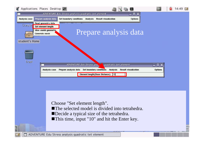|                         | Applications Places Desktop              |                                                     |          |                                     | <b>R</b>                    |         | 14:49 |
|-------------------------|------------------------------------------|-----------------------------------------------------|----------|-------------------------------------|-----------------------------|---------|-------|
|                         |                                          | ADVENTURE Edu Stress analysis quadratic tet element |          |                                     | $\Box$ $\Box$ $\times$      |         |       |
| Analysis case           | Prepare analysis data                    | Set boundary conditions                             | Analysis | <b>Result visualization</b>         | <b>Options</b>              |         |       |
| <b>Comput</b>           | Read geometry data<br>Set element length |                                                     |          |                                     |                             |         |       |
|                         | View model geometry<br>Generate mesh     |                                                     |          |                                     | Prepare analysis data       |         |       |
| student's Home<br>Trash |                                          |                                                     |          |                                     |                             |         |       |
|                         |                                          | ADVENTURE Edu Stress ana.                           |          | quadratic tet element               |                             |         |       |
|                         | <b>Analysis case</b>                     | Prepare analysis data                               |          | Set boundary conditions<br>Analysis | <b>Result visualization</b> | Options |       |
|                         |                                          |                                                     |          | Element length (Base Distance)  10  |                             |         |       |

Choose "Set element length". ■The selected model is divided into tetrahedra. Decide a typical size of the tetrahedra. ■This time, input "10" and hit the Enter key.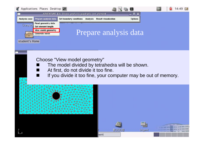

### Choose "View model geometry"

- The model divided by tetrahedra will be shown.
- At first, do not divide it too fine.
- If you divide it too fine, your computer may be out of memory.

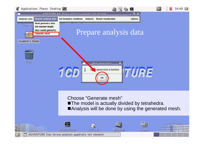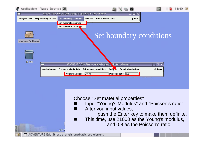

Choose "Set material properties"

- **List** Input "Young's Modulus" and "Poisson's ratio"
- After you input values,
	- push the Enter key to make them definite.
- This time, use 21000 as the Young's modulus, and 0.3 as the Poisson's ratio.

ADVENTURE Edu Stress analysis quadratic tet element

ADV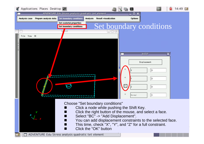

ADVENTURE Edu Stress analysis quadratic tet element

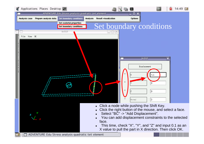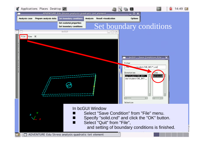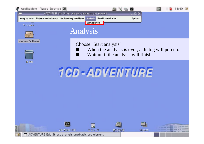



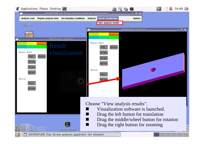

ADVENTURE Edu Stress analysis quadratic tet element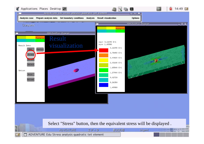

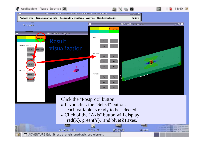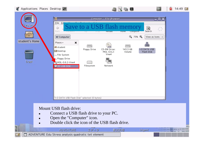

**B** 

14:49 回

#### Mount USB flash drive:

- П Connect a USB flash drive to your PC.
- $\blacksquare$ Open the "Computer" icon.

**ADVENTURE** 

ADVENTURE Edu Stress analysis quadratic tet element

П Double click the icon of the USB flash drive.

エディク

数式処理

**iAgent**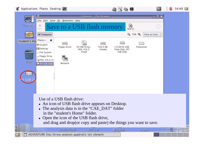

14:49 回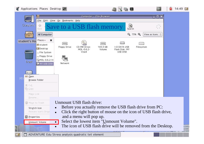

14:49 回

ADVENTURE Edu Stress analysis quadratic tet element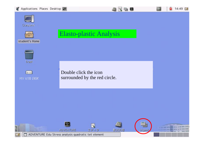Applications Places Desktop





student's Home



 $\blacksquare$ 

۰

14:49 回



 $+$ MY USB DISK

Double click the icon surrounded by the red circle.